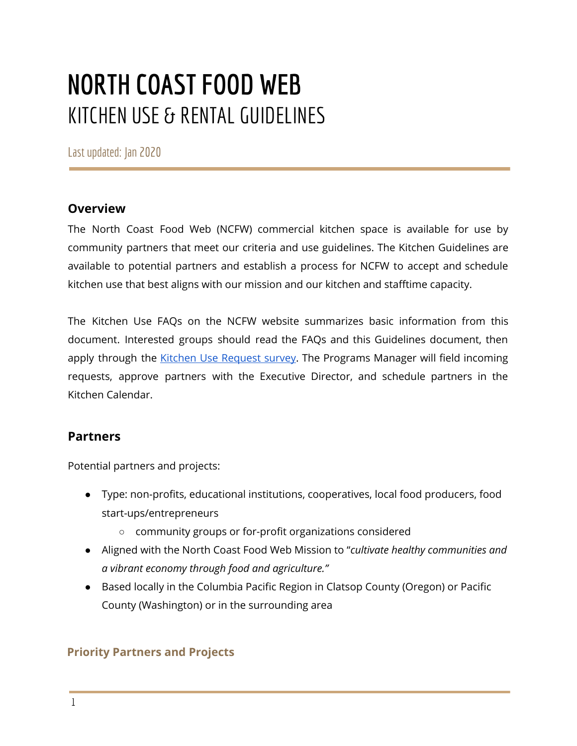## **NORTH COASTFOOD WEB** KITCHEN USE & RENTAL GUIDELINES

Lastupdated: Jan 2020

#### **Overview**

The North Coast Food Web (NCFW) commercial kitchen space is available for use by community partners that meet our criteria and use guidelines. The Kitchen Guidelines are available to potential partners and establish a process for NCFW to accept and schedule kitchen use that best aligns with our mission and our kitchen and stafftime capacity.

The Kitchen Use FAQs on the NCFW website summarizes basic information from this document. Interested groups should read the FAQs and this Guidelines document, then apply through the Kitchen Use [Request](https://docs.google.com/forms/d/e/1FAIpQLSe-XAieeMVrGINChfNI2ZEIFK3sCieLsh5Pa-fDMASlOed_AQ/viewform?usp=sf_link) survey. The Programs Manager will field incoming requests, approve partners with the Executive Director, and schedule partners in the Kitchen Calendar.

#### **Partners**

Potential partners and projects:

- Type: non-profits, educational institutions, cooperatives, local food producers, food start-ups/entrepreneurs
	- community groups or for-profit organizations considered
- Aligned with the North Coast Food Web Mission to "*cultivate healthy communities and a vibrant economy through food and agriculture."*
- Based locally in the Columbia Pacific Region in Clatsop County (Oregon) or Pacific County (Washington) or in the surrounding area

#### **Priority Partners and Projects**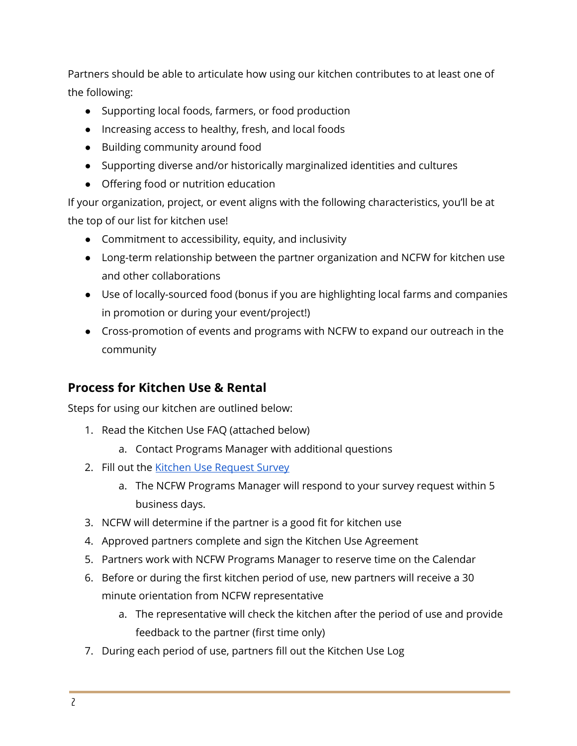Partners should be able to articulate how using our kitchen contributes to at least one of the following:

- Supporting local foods, farmers, or food production
- Increasing access to healthy, fresh, and local foods
- Building community around food
- Supporting diverse and/or historically marginalized identities and cultures
- Offering food or nutrition education

If your organization, project, or event aligns with the following characteristics, you'll be at the top of our list for kitchen use!

- Commitment to accessibility, equity, and inclusivity
- Long-term relationship between the partner organization and NCFW for kitchen use and other collaborations
- Use of locally-sourced food (bonus if you are highlighting local farms and companies in promotion or during your event/project!)
- Cross-promotion of events and programs with NCFW to expand our outreach in the community

#### **Process for Kitchen Use & Rental**

Steps for using our kitchen are outlined below:

- 1. Read the Kitchen Use FAQ (attached below)
	- a. Contact Programs Manager with additional questions
- 2. Fill out the Kitchen Use [Request](https://docs.google.com/forms/d/e/1FAIpQLSe-XAieeMVrGINChfNI2ZEIFK3sCieLsh5Pa-fDMASlOed_AQ/viewform?usp=sf_link) Survey
	- a. The NCFW Programs Manager will respond to your survey request within 5 business days.
- 3. NCFW will determine if the partner is a good fit for kitchen use
- 4. Approved partners complete and sign the Kitchen Use Agreement
- 5. Partners work with NCFW Programs Manager to reserve time on the Calendar
- 6. Before or during the first kitchen period of use, new partners will receive a 30 minute orientation from NCFW representative
	- a. The representative will check the kitchen after the period of use and provide feedback to the partner (first time only)
- 7. During each period of use, partners fill out the Kitchen Use Log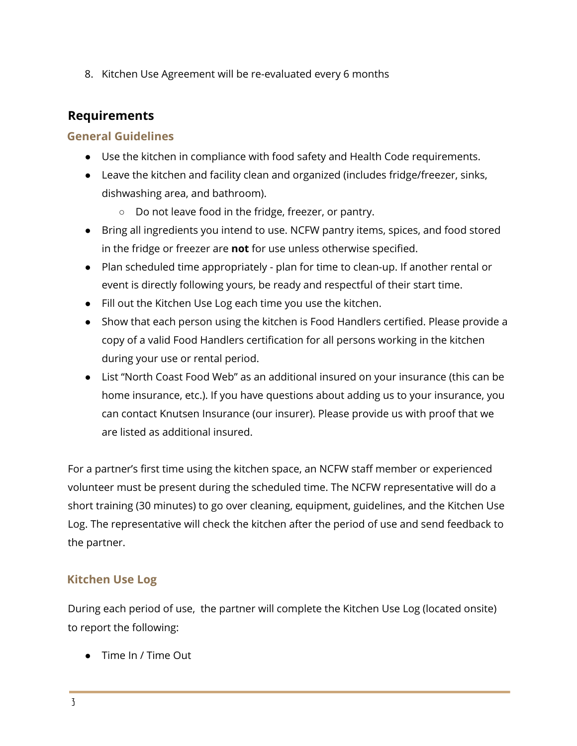8. Kitchen Use Agreement will be re-evaluated every 6 months

#### **Requirements**

#### **General Guidelines**

- Use the kitchen in compliance with food safety and Health Code requirements.
- Leave the kitchen and facility clean and organized (includes fridge/freezer, sinks, dishwashing area, and bathroom).
	- Do not leave food in the fridge, freezer, or pantry.
- Bring all ingredients you intend to use. NCFW pantry items, spices, and food stored in the fridge or freezer are **not** for use unless otherwise specified.
- Plan scheduled time appropriately plan for time to clean-up. If another rental or event is directly following yours, be ready and respectful of their start time.
- Fill out the Kitchen Use Log each time you use the kitchen.
- Show that each person using the kitchen is Food Handlers certified. Please provide a copy of a valid Food Handlers certification for all persons working in the kitchen during your use or rental period.
- List "North Coast Food Web" as an additional insured on your insurance (this can be home insurance, etc.). If you have questions about adding us to your insurance, you can contact Knutsen Insurance (our insurer). Please provide us with proof that we are listed as additional insured.

For a partner's first time using the kitchen space, an NCFW staff member or experienced volunteer must be present during the scheduled time. The NCFW representative will do a short training (30 minutes) to go over cleaning, equipment, guidelines, and the Kitchen Use Log. The representative will check the kitchen after the period of use and send feedback to the partner.

#### **Kitchen Use Log**

During each period of use, the partner will complete the Kitchen Use Log (located onsite) to report the following:

● Time In / Time Out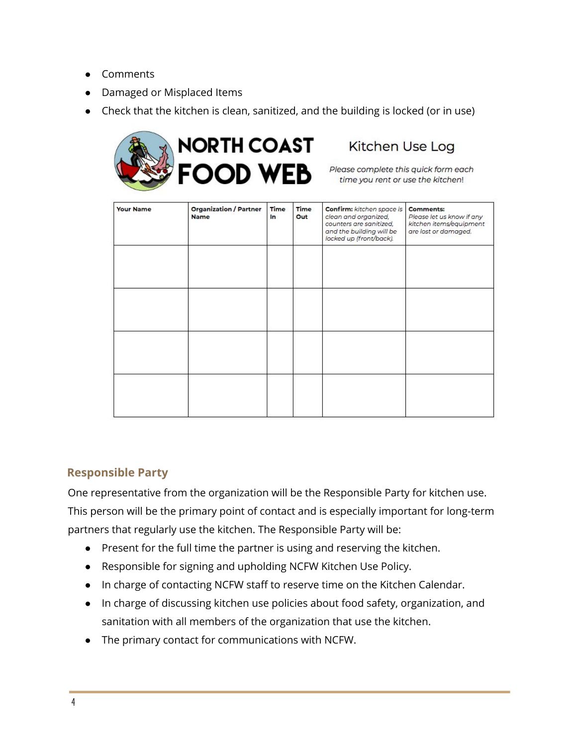- **Comments**
- Damaged or Misplaced Items
- Check that the kitchen is clean, sanitized, and the building is locked (or in use)



### Kitchen Use Log

| <b>Your Name</b> | <b>Organization / Partner</b><br><b>Name</b> | Time<br>In | Time<br>Out | Confirm: kitchen space is<br>clean and organized,<br>counters are sanitized,<br>and the building will be<br>locked up (front/back). | <b>Comments:</b><br>Please let us know if any<br>kitchen items/equipment<br>are lost or damaged. |
|------------------|----------------------------------------------|------------|-------------|-------------------------------------------------------------------------------------------------------------------------------------|--------------------------------------------------------------------------------------------------|
|                  |                                              |            |             |                                                                                                                                     |                                                                                                  |
|                  |                                              |            |             |                                                                                                                                     |                                                                                                  |
|                  |                                              |            |             |                                                                                                                                     |                                                                                                  |
|                  |                                              |            |             |                                                                                                                                     |                                                                                                  |

#### **Responsible Party**

One representative from the organization will be the Responsible Party for kitchen use. This person will be the primary point of contact and is especially important for long-term partners that regularly use the kitchen. The Responsible Party will be:

- Present for the full time the partner is using and reserving the kitchen.
- Responsible for signing and upholding NCFW Kitchen Use Policy.
- In charge of contacting NCFW staff to reserve time on the Kitchen Calendar.
- In charge of discussing kitchen use policies about food safety, organization, and sanitation with all members of the organization that use the kitchen.
- The primary contact for communications with NCFW.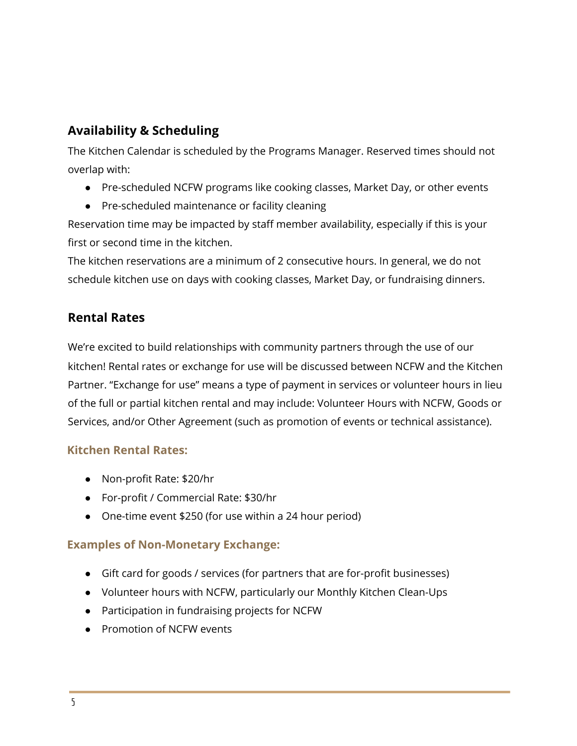#### **Availability & Scheduling**

The Kitchen Calendar is scheduled by the Programs Manager. Reserved times should not overlap with:

- Pre-scheduled NCFW programs like cooking classes, Market Day, or other events
- Pre-scheduled maintenance or facility cleaning

Reservation time may be impacted by staff member availability, especially if this is your first or second time in the kitchen.

The kitchen reservations are a minimum of 2 consecutive hours. In general, we do not schedule kitchen use on days with cooking classes, Market Day, or fundraising dinners.

#### **Rental Rates**

We're excited to build relationships with community partners through the use of our kitchen! Rental rates or exchange for use will be discussed between NCFW and the Kitchen Partner. "Exchange for use" means a type of payment in services or volunteer hours in lieu of the full or partial kitchen rental and may include: Volunteer Hours with NCFW, Goods or Services, and/or Other Agreement (such as promotion of events or technical assistance).

#### **Kitchen Rental Rates:**

- Non-profit Rate: \$20/hr
- For-profit / Commercial Rate: \$30/hr
- One-time event \$250 (for use within a 24 hour period)

#### **Examples of Non-Monetary Exchange:**

- Gift card for goods / services (for partners that are for-profit businesses)
- Volunteer hours with NCFW, particularly our Monthly Kitchen Clean-Ups
- Participation in fundraising projects for NCFW
- Promotion of NCFW events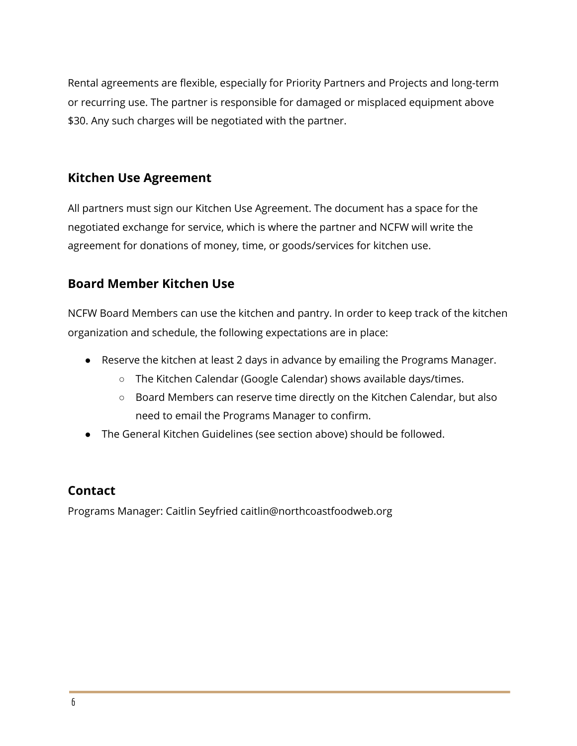Rental agreements are flexible, especially for Priority Partners and Projects and long-term or recurring use. The partner is responsible for damaged or misplaced equipment above \$30. Any such charges will be negotiated with the partner.

#### **Kitchen Use Agreement**

All partners must sign our Kitchen Use Agreement. The document has a space for the negotiated exchange for service, which is where the partner and NCFW will write the agreement for donations of money, time, or goods/services for kitchen use.

#### **Board Member Kitchen Use**

NCFW Board Members can use the kitchen and pantry. In order to keep track of the kitchen organization and schedule, the following expectations are in place:

- Reserve the kitchen at least 2 days in advance by emailing the Programs Manager.
	- The Kitchen Calendar (Google Calendar) shows available days/times.
	- Board Members can reserve time directly on the Kitchen Calendar, but also need to email the Programs Manager to confirm.
- The General Kitchen Guidelines (see section above) should be followed.

#### **Contact**

Programs Manager: Caitlin Seyfried caitlin@northcoastfoodweb.org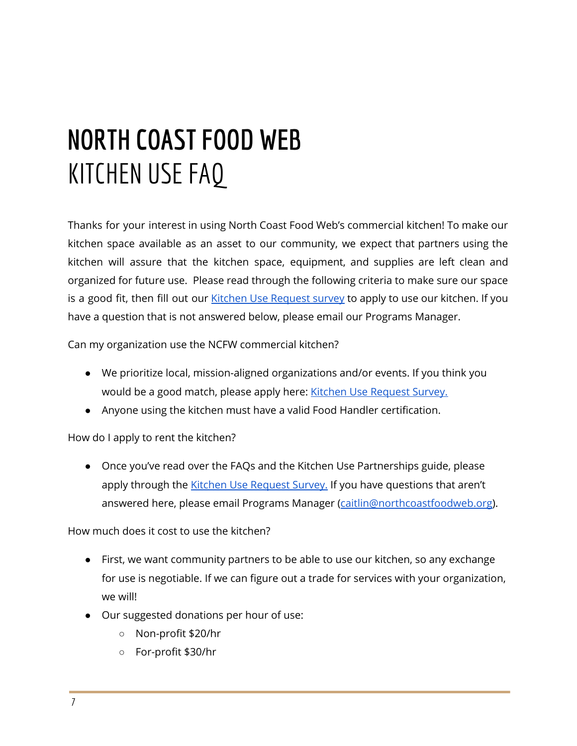# **NORTH COASTFOOD WEB** KITCHEN USEFAQ

Thanks for your interest in using North Coast Food Web's commercial kitchen! To make our kitchen space available as an asset to our community, we expect that partners using the kitchen will assure that the kitchen space, equipment, and supplies are left clean and organized for future use. Please read through the following criteria to make sure our space is a good fit, then fill out our Kitchen Use [Request](https://docs.google.com/forms/d/e/1FAIpQLSe-XAieeMVrGINChfNI2ZEIFK3sCieLsh5Pa-fDMASlOed_AQ/viewform?usp=sf_link) survey to apply to use our kitchen. If you have a question that is not answered below, please email our Programs Manager.

Can my organization use the NCFW commercial kitchen?

- We prioritize local, mission-aligned organizations and/or events. If you think you would be a good match, please apply here: Kitchen Use [Request](https://docs.google.com/forms/d/e/1FAIpQLSe-XAieeMVrGINChfNI2ZEIFK3sCieLsh5Pa-fDMASlOed_AQ/viewform?usp=sf_link) Survey.
- Anyone using the kitchen must have a valid Food Handler certification.

How do I apply to rent the kitchen?

● Once you've read over the FAQs and the Kitchen Use Partnerships guide, please apply through the Kitchen Use [Request](https://docs.google.com/forms/d/e/1FAIpQLSe-XAieeMVrGINChfNI2ZEIFK3sCieLsh5Pa-fDMASlOed_AQ/viewform?usp=sf_link) Survey. If you have questions that aren't answered here, please email Programs Manager ([caitlin@northcoastfoodweb.org\)](mailto:caitlin@northcoastfoodweb.org).

How much does it cost to use the kitchen?

- First, we want community partners to be able to use our kitchen, so any exchange for use is negotiable. If we can figure out a trade for services with your organization, we will!
- Our suggested donations per hour of use:
	- Non-profit \$20/hr
	- For-profit \$30/hr